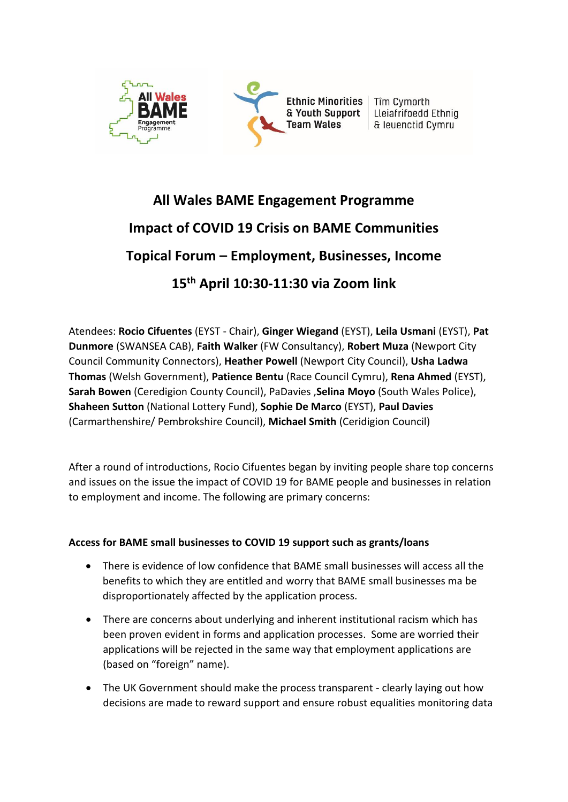

# **All Wales BAME Engagement Programme Impact of COVID 19 Crisis on BAME Communities Topical Forum – Employment, Businesses, Income 15th April 10:30-11:30 via Zoom link**

Atendees: **Rocio Cifuentes** (EYST - Chair), **Ginger Wiegand** (EYST), **Leila Usmani** (EYST), **Pat Dunmore** (SWANSEA CAB), **Faith Walker** (FW Consultancy), **Robert Muza** (Newport City Council Community Connectors), **Heather Powell** (Newport City Council), **Usha Ladwa Thomas** (Welsh Government), **Patience Bentu** (Race Council Cymru), **Rena Ahmed** (EYST), **Sarah Bowen** (Ceredigion County Council), PaDavies ,**Selina Moyo** (South Wales Police), **Shaheen Sutton** (National Lottery Fund), **Sophie De Marco** (EYST), **Paul Davies** (Carmarthenshire/ Pembrokshire Council), **Michael Smith** (Ceridigion Council)

After a round of introductions, Rocio Cifuentes began by inviting people share top concerns and issues on the issue the impact of COVID 19 for BAME people and businesses in relation to employment and income. The following are primary concerns:

## **Access for BAME small businesses to COVID 19 support such as grants/loans**

- There is evidence of low confidence that BAME small businesses will access all the benefits to which they are entitled and worry that BAME small businesses ma be disproportionately affected by the application process.
- There are concerns about underlying and inherent institutional racism which has been proven evident in forms and application processes. Some are worried their applications will be rejected in the same way that employment applications are (based on "foreign" name).
- The UK Government should make the process transparent clearly laying out how decisions are made to reward support and ensure robust equalities monitoring data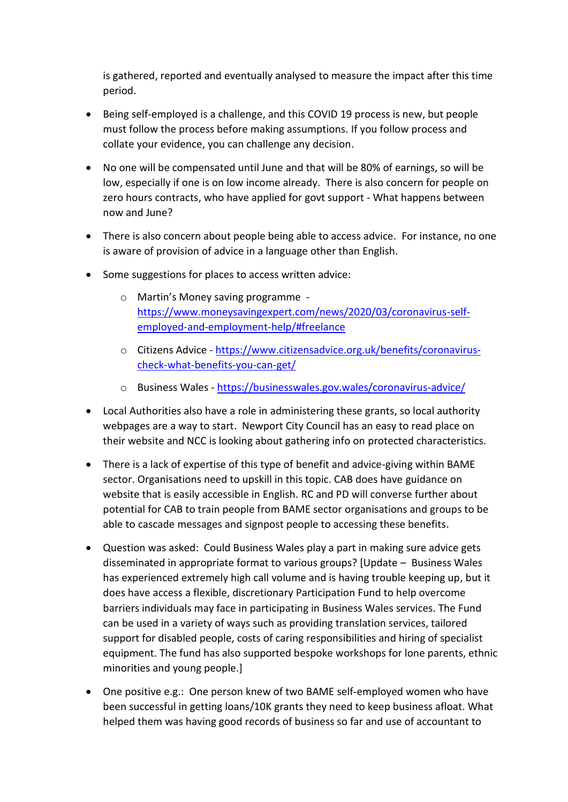is gathered, reported and eventually analysed to measure the impact after this time period.

- Being self-employed is a challenge, and this COVID 19 process is new, but people must follow the process before making assumptions. If you follow process and collate your evidence, you can challenge any decision.
- No one will be compensated until June and that will be 80% of earnings, so will be low, especially if one is on low income already. There is also concern for people on zero hours contracts, who have applied for govt support - What happens between now and June?
- There is also concern about people being able to access advice. For instance, no one is aware of provision of advice in a language other than English.
- Some suggestions for places to access written advice:
	- o Martin's Money saving programme [https://www.moneysavingexpert.com/news/2020/03/coronavirus-self](https://www.moneysavingexpert.com/news/2020/03/coronavirus-self-employed-and-employment-help/#freelance)[employed-and-employment-help/#freelance](https://www.moneysavingexpert.com/news/2020/03/coronavirus-self-employed-and-employment-help/#freelance)
	- o Citizens Advice [https://www.citizensadvice.org.uk/benefits/coronavirus](https://www.citizensadvice.org.uk/benefits/coronavirus-check-what-benefits-you-can-get/)[check-what-benefits-you-can-get/](https://www.citizensadvice.org.uk/benefits/coronavirus-check-what-benefits-you-can-get/)
	- o Business Wales <https://businesswales.gov.wales/coronavirus-advice/>
- Local Authorities also have a role in administering these grants, so local authority webpages are a way to start. Newport City Council has an easy to read place on their website and NCC is looking about gathering info on protected characteristics.
- There is a lack of expertise of this type of benefit and advice-giving within BAME sector. Organisations need to upskill in this topic. CAB does have guidance on website that is easily accessible in English. RC and PD will converse further about potential for CAB to train people from BAME sector organisations and groups to be able to cascade messages and signpost people to accessing these benefits.
- Question was asked: Could Business Wales play a part in making sure advice gets disseminated in appropriate format to various groups? [Update – Business Wales has experienced extremely high call volume and is having trouble keeping up, but it does have access a flexible, discretionary Participation Fund to help overcome barriers individuals may face in participating in Business Wales services. The Fund can be used in a variety of ways such as providing translation services, tailored support for disabled people, costs of caring responsibilities and hiring of specialist equipment. The fund has also supported bespoke workshops for lone parents, ethnic minorities and young people.]
- One positive e.g.: One person knew of two BAME self-employed women who have been successful in getting loans/10K grants they need to keep business afloat. What helped them was having good records of business so far and use of accountant to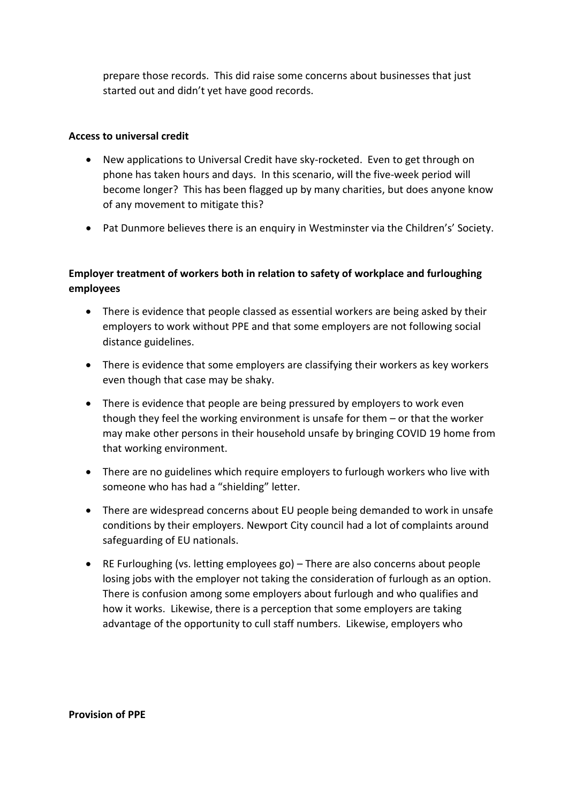prepare those records. This did raise some concerns about businesses that just started out and didn't yet have good records.

#### **Access to universal credit**

- New applications to Universal Credit have sky-rocketed. Even to get through on phone has taken hours and days. In this scenario, will the five-week period will become longer? This has been flagged up by many charities, but does anyone know of any movement to mitigate this?
- Pat Dunmore believes there is an enquiry in Westminster via the Children's' Society.

# **Employer treatment of workers both in relation to safety of workplace and furloughing employees**

- There is evidence that people classed as essential workers are being asked by their employers to work without PPE and that some employers are not following social distance guidelines.
- There is evidence that some employers are classifying their workers as key workers even though that case may be shaky.
- There is evidence that people are being pressured by employers to work even though they feel the working environment is unsafe for them – or that the worker may make other persons in their household unsafe by bringing COVID 19 home from that working environment.
- There are no guidelines which require employers to furlough workers who live with someone who has had a "shielding" letter.
- There are widespread concerns about EU people being demanded to work in unsafe conditions by their employers. Newport City council had a lot of complaints around safeguarding of EU nationals.
- RE Furloughing (vs. letting employees go) There are also concerns about people losing jobs with the employer not taking the consideration of furlough as an option. There is confusion among some employers about furlough and who qualifies and how it works. Likewise, there is a perception that some employers are taking advantage of the opportunity to cull staff numbers. Likewise, employers who

**Provision of PPE**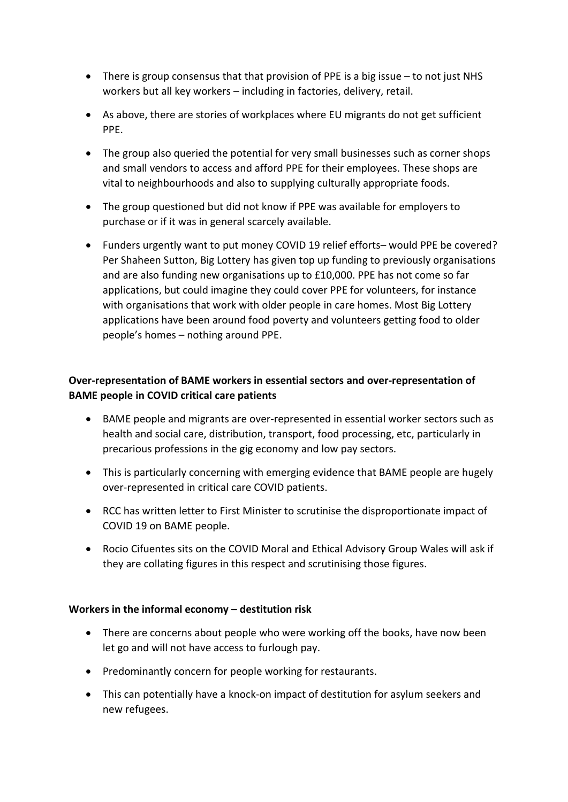- There is group consensus that that provision of PPE is a big issue to not just NHS workers but all key workers – including in factories, delivery, retail.
- As above, there are stories of workplaces where EU migrants do not get sufficient PPE.
- The group also queried the potential for very small businesses such as corner shops and small vendors to access and afford PPE for their employees. These shops are vital to neighbourhoods and also to supplying culturally appropriate foods.
- The group questioned but did not know if PPE was available for employers to purchase or if it was in general scarcely available.
- Funders urgently want to put money COVID 19 relief efforts– would PPE be covered? Per Shaheen Sutton, Big Lottery has given top up funding to previously organisations and are also funding new organisations up to £10,000. PPE has not come so far applications, but could imagine they could cover PPE for volunteers, for instance with organisations that work with older people in care homes. Most Big Lottery applications have been around food poverty and volunteers getting food to older people's homes – nothing around PPE.

# **Over-representation of BAME workers in essential sectors and over-representation of BAME people in COVID critical care patients**

- BAME people and migrants are over-represented in essential worker sectors such as health and social care, distribution, transport, food processing, etc, particularly in precarious professions in the gig economy and low pay sectors.
- This is particularly concerning with emerging evidence that BAME people are hugely over-represented in critical care COVID patients.
- RCC has written letter to First Minister to scrutinise the disproportionate impact of COVID 19 on BAME people.
- Rocio Cifuentes sits on the COVID Moral and Ethical Advisory Group Wales will ask if they are collating figures in this respect and scrutinising those figures.

## **Workers in the informal economy – destitution risk**

- There are concerns about people who were working off the books, have now been let go and will not have access to furlough pay.
- Predominantly concern for people working for restaurants.
- This can potentially have a knock-on impact of destitution for asylum seekers and new refugees.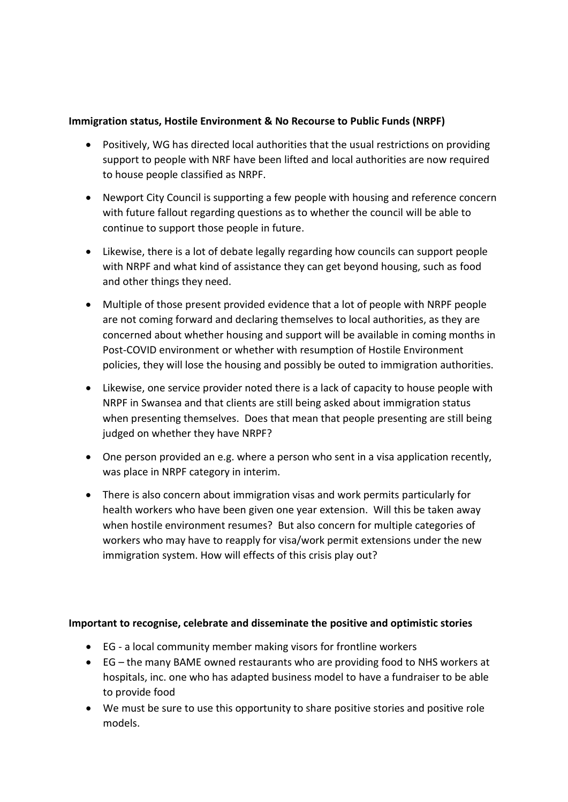#### **Immigration status, Hostile Environment & No Recourse to Public Funds (NRPF)**

- Positively, WG has directed local authorities that the usual restrictions on providing support to people with NRF have been lifted and local authorities are now required to house people classified as NRPF.
- Newport City Council is supporting a few people with housing and reference concern with future fallout regarding questions as to whether the council will be able to continue to support those people in future.
- Likewise, there is a lot of debate legally regarding how councils can support people with NRPF and what kind of assistance they can get beyond housing, such as food and other things they need.
- Multiple of those present provided evidence that a lot of people with NRPF people are not coming forward and declaring themselves to local authorities, as they are concerned about whether housing and support will be available in coming months in Post-COVID environment or whether with resumption of Hostile Environment policies, they will lose the housing and possibly be outed to immigration authorities.
- Likewise, one service provider noted there is a lack of capacity to house people with NRPF in Swansea and that clients are still being asked about immigration status when presenting themselves. Does that mean that people presenting are still being judged on whether they have NRPF?
- One person provided an e.g. where a person who sent in a visa application recently, was place in NRPF category in interim.
- There is also concern about immigration visas and work permits particularly for health workers who have been given one year extension. Will this be taken away when hostile environment resumes? But also concern for multiple categories of workers who may have to reapply for visa/work permit extensions under the new immigration system. How will effects of this crisis play out?

#### **Important to recognise, celebrate and disseminate the positive and optimistic stories**

- EG a local community member making visors for frontline workers
- EG the many BAME owned restaurants who are providing food to NHS workers at hospitals, inc. one who has adapted business model to have a fundraiser to be able to provide food
- We must be sure to use this opportunity to share positive stories and positive role models.